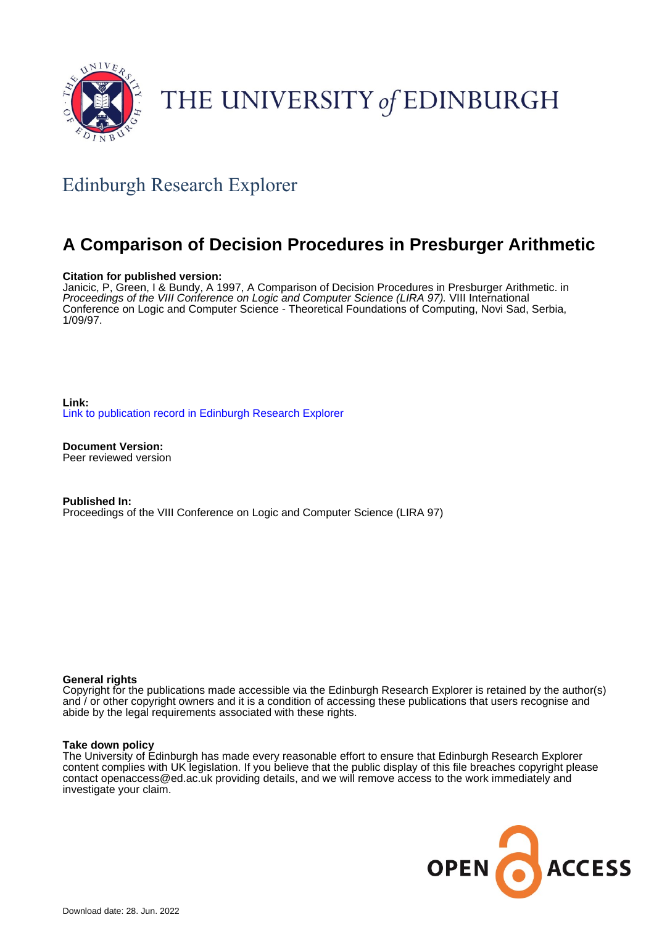

# THE UNIVERSITY of EDINBURGH

## Edinburgh Research Explorer

## **A Comparison of Decision Procedures in Presburger Arithmetic**

## **Citation for published version:**

Janicic, P, Green, I & Bundy, A 1997, A Comparison of Decision Procedures in Presburger Arithmetic. in Proceedings of the VIII Conference on Logic and Computer Science (LIRA 97). VIII International Conference on Logic and Computer Science - Theoretical Foundations of Computing, Novi Sad, Serbia, 1/09/97.

**Link:** [Link to publication record in Edinburgh Research Explorer](https://www.research.ed.ac.uk/en/publications/b6a01748-7788-4e97-ba80-7dc04765a1c8)

**Document Version:** Peer reviewed version

**Published In:** Proceedings of the VIII Conference on Logic and Computer Science (LIRA 97)

### **General rights**

Copyright for the publications made accessible via the Edinburgh Research Explorer is retained by the author(s) and / or other copyright owners and it is a condition of accessing these publications that users recognise and abide by the legal requirements associated with these rights.

### **Take down policy**

The University of Edinburgh has made every reasonable effort to ensure that Edinburgh Research Explorer content complies with UK legislation. If you believe that the public display of this file breaches copyright please contact openaccess@ed.ac.uk providing details, and we will remove access to the work immediately and investigate your claim.

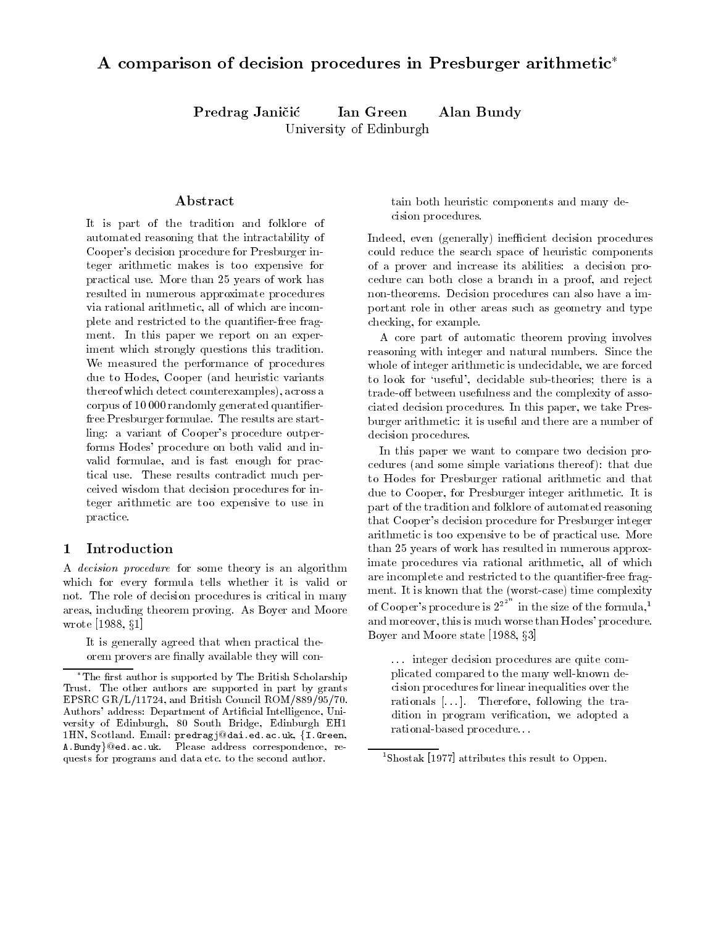## A comparison of decision procedures in Presburger arithmetic

Predrag Janičić Ian Green Alan Bundy University of Edinburgh

## Abstract

It is part of the tradition and folklore of automated reasoning that the intractability of s decision procedure for Presburger in Presburger in Presburger in Presburger in Presburger in Presburger in P teger arithmetic makes is too expensive for practical use. More than 25 years of work has resulted in numerous approximate procedures via rational arithmetic all of which are incom plete and restricted to the quantifier-free fragment. In this paper we report on an experiment which strongly questions this tradition We measured the performance of procedures due to Hodes, Cooper (and heuristic variants there are across across and detection accounter and across and across and across across and corpus of 10 000 randomly generated quantifierfree Presburger formulae The results are start ling a variant of Cooper-s procedure outper forms Hodes- procedure on both valid and in valid formulae, and is fast enough for practical use These results contradict much per ceived wisdom that decision procedures for in teger arithmetic are too expensive to use in practice

#### Introduction  $\mathbf{1}$

A decision procedure for some theory is an algorithm which for every formula tells whether it is valid or not. The role of decision procedures is critical in many areas, including theorem proving. As Boyer and Moore wrote [1988,  $§1]$ ]

It is generally agreed that when practical the orem provers are finally available they will contain both heuristic components and many de cision procedures

indeed even and the contract of the contract of the contract of the contract of the contract of the contract o could reduce the search space of heuristic components of a prover and increase its abilities a decision pro cedure can both close a branch in a proof, and reject non-theorems. Decision procedures can also have a important role in other areas such as geometry and type checking, for example.

A core part of automatic theorem proving involves reasoning with integer and natural numbers. Since the whole of integer arithmetic is undecidable, we are forced to look for useful- decidable subtheories there is a trade-off between usefulness and the complexity of associated decision procedures. In this paper, we take Presburger arithmetic
it is useful and there are a number of decision procedures

In this paper we want to compare two decision pro cedures  $\sim$  some simple variations there is the some simple variation of the some to Hodes for Presburger rational arithmetic and that due to Cooper, for Presburger integer arithmetic. It is part of the tradition and folklore of automated reasoning that Cooper-s decision procedure for Presburger integer arithmetic is too expensive to be of practical use More than 25 years of work has resulted in numerous approximate procedures via rational arithmetic, all of which are incomplete and restricted to the quantifier-free fragment is a time that the second time  $\mathcal{C}$  that the complex is the complex of  $\mathcal{C}$ of Cooper's procedure is  $2^{2^{2^{n}}}$  in the size of the formula,<sup>1</sup> and more over the more over the more over the more over the more over the more over the more over the more over Boyer and Moore state [1988,  $\S3$ ]

... integer decision procedures are quite complicated compared to the many well-known decision procedures for linear inequalities over the rationals  $[...]$ . Therefore, following the tradition in program verification, we adopted a rational based procedure.

The first author is supported by The British Scholarship Trust. The other authors are supported in part by grants EPSRC British Council Roman Council Roman Council Roman Council Roman Council Roman District Roman Council Rom cial Intelligence Department of Articles and Articles, 1980, 1980, 1980, 1980, 1980, 1980, 1980, 1980, 1980, 1  $\mathcal{S}$  and Edinburgh Edinburgh Edinburgh Edinburgh Edinburgh Edinburgh Edinburgh Edinburgh Edinburgh Edinburgh Edinburgh Edinburgh Edinburgh Edinburgh Edinburgh Edinburgh Edinburgh Edinburgh Edinburgh Edinburgh Edinburg 1HN, Scotland. Email: predragj@dai.ed.ac.uk, {I.Green, A.Bundy}@ed.ac.uk. Please address correspondence, requests for programs and data etc to the second author

 $^{1}$ Shostak [1977] attributes this result to Oppen.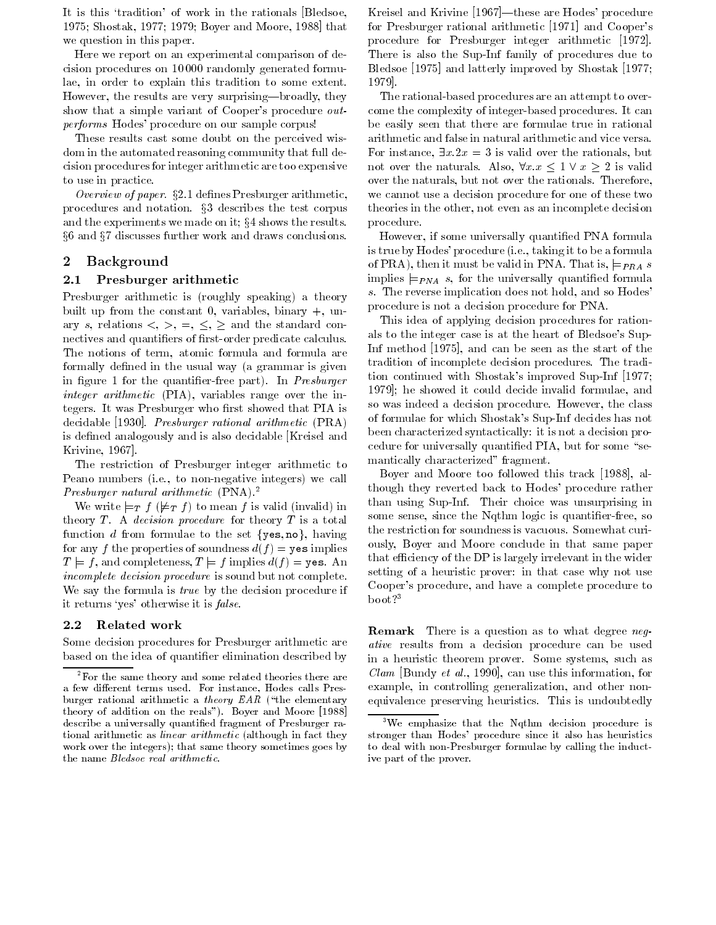It is this tradition- of work in the rationals Bledsoe 1975; Shostak, 1977; 1979; Boyer and Moore, 1988 that we question in this paper

Here we report on an experimental comparison of de cision procedures on 10000 randomly generated formulae, in order to explain this tradition to some extent. However, the results are very surprising-broadly, they show that a simple variant of Cooper-procedure outperforms Hodes- procedure corpus corpus corpus corpus.

These results cast some doubt on the perceived wis dom in the automated reasoning community that full de cision procedures for integer arithmetic are too expensive to use in practice

Overview of paper.  $\S 2.1$  defines Presburger arithmetic, procedures and notation.  $\S3$  describes the test corpus and the experiments we made on it;  $§4$  shows the results.  $\S6$  and  $\S7$  discusses further work and draws conclusions.

## Background

#### $2.1$ Presburger arithmetic

Presburger arithmetic is roughly speaking a theory built up from the constant 0, variables, binary  $+$ , unary s, relations  $\langle , \rangle$ ,  $=$ ,  $\langle , \rangle$  and the standard connectives and quantifiers of first-order predicate calculus. The notions of term, atomic formula and formula are formally defined in the usual way (a grammar is given in agus a for the quantiers is a part of the state with  $\sim$ integer arithmetic PIA variables range over the in tegers. It was Presburger who first showed that PIA is decidable [1930]. Presburger rational arithmetic (PRA) is defined analogously and is also decidable [Kreisel and Krivine, 1967.

The restriction of Presburger integer arithmetic to Peano numbers ie to nonnegative integers we call  $P$ resburger natural arithmetic  $(\text{PNA})$ .

We write  $\models_T f (\not\models_T f)$  to mean f is valid (invalid) in  $\Gamma$ theory  $T$ . A *decision procedure* for theory  $T$  is a total function d from formulae to the set  $\{yes, no\}$ , having for any finished properties of sounding any field of sounding the properties of sounding the properties of the  $T \models f,$  and completeness,  $T \models f$  implies  $d(f) = \mathtt{yes}$  . An  $\;\;\;\;\;\;\;\text{or}$ incomplete decision procedure is sound but not complete We say the formula is *true* by the decision procedure if it returns yes- otherwise it is false

#### $2.2$ Related work

Some decision procedures for Presburger arithmetic are based on the idea of quantifier elimination described by

Kreisel and Krivine these are Hodes- procedure for Presburger rational arithmetic (Poir) and Coopersprocedure for Presburger integer arithmetic There is also the Sup-Inf family of procedures due to Bledsoe  $[1975]$  and latterly improved by Shostak  $[1977]$ ; 1979.

come the complexity of integer complexity procedures It can a The rational-based procedures are an attempt to overbe easily seen that there are formulae true in rational arithmetic and false in natural arithmetic and vice versa For instance,  $\exists x \cdot 2x = 3$  is valid over the rationals, but not over the naturals. Also,  $\forall x \cdot x \leq 1 \lor x \geq 2$  is valid over the naturals, but not over the rationals. Therefore, we cannot use a decision procedure for one of these two theories in the other, not even as an incomplete decision procedure

However, if some universally quantified PNA formula is true by Hodes-taking it to be a formulated to be a formulated to be a formulated to be a formulated to be a of PRA), then it must be valid in PNA. That is,  $\models_{PRA} s$ implies  $\models_{PNA} s$ , for the universally quantified formula s. The reverse implication does not hold, and so Hodes procedure is not a decision procedure for PNA

This idea of applying decision procedures for ration als to the integral case is at the model of Bledsoe-Company of Bledsoe-Inf method  $[1975]$ , and can be seen as the start of the tradition of incomplete decision procedures The tradi eron contentava with Shostan s improved Sup Improved  $\frac{1}{2}$ 1979]; he showed it could decide invalid formulae, and so was indeed a decision procedure. However, the class of formulae for which Shostak-s SupInf decides has not between characterized syntactically in the characterized syntactically in the characterized syntactical problem in cedure for universally quantified PIA, but for some "semantically characterized" fragment.

Boyer and Moore too followed this track  $[1988]$ , although they reverted back to Hodes- procedure rather than using Sup-Inf. Their choice was unsurprising in some sense, since the Nqthm logic is quantifier-free, so the restriction for soundness is vacuous Somewhat curi ously, Boyer and Moore conclude in that same paper that efficiency of the DP is largely irrelevant in the wider setting of a heuristic prover in that case why not use cooperative procedure and have a complete procedure to and the set of the set of the set of the set of the set of the set of the set of the set of the set of the set of the set of the set of the set of the set of the set o  $boot?$ <sup>3</sup>

Remark There is a question as to what degree negative results from a decision procedure can be used in a heuristic theorem prover. Some systems, such as *Clam* [Bundy *et al.*, 1990], can use this information, for example, in controlling generalization, and other nonequivalence preserving heuristics This is undoubtedly

<sup>-</sup>For the same theory and some related theories there are a few different terms used. For instance, Hodes calls Presburger rational arithmetic a theory EAR ("the elementary theory of addition on the reals Boyer and Moore describe a universally quanti-ed fragment of Presburger ra tional arithmetic as *linear arithmetic* (although in fact they work over the integers); that same theory sometimes goes by the name Bledsoe real arithmetic

<sup>&</sup>lt;sup>3</sup>We emphasize that the Nqthm decision procedure is stronger than Hodes' procedure since it also has heuristics to deal with non-Presburger formulae by calling the inductive part of the prover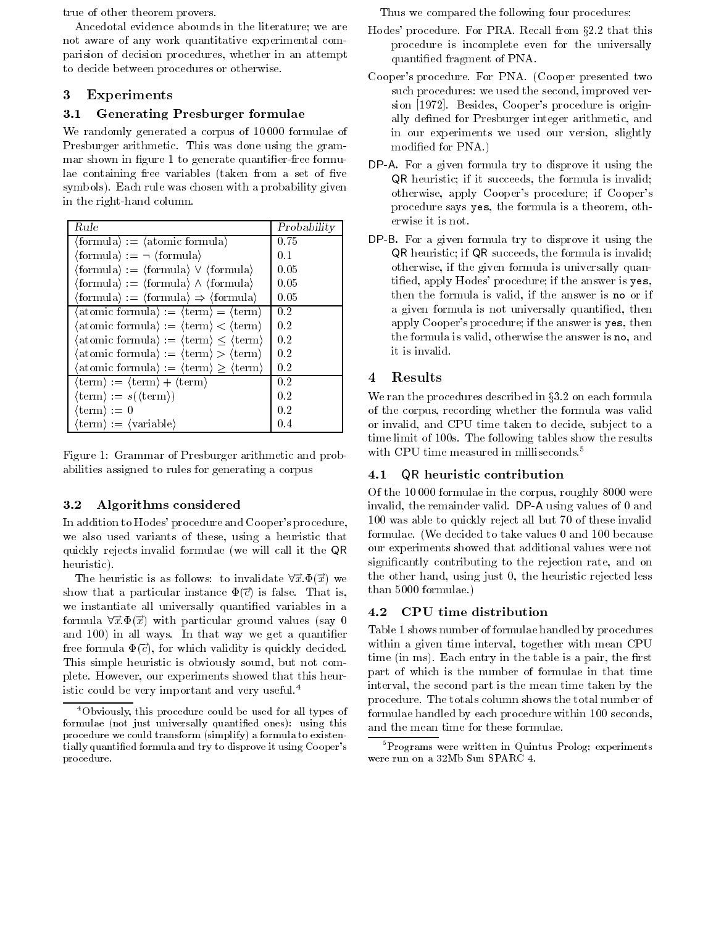true of other theorem provers

Ancedotal evidence abounds in the literature; we are not aware of any work quantitative experimental com parision of decision procedures, whether in an attempt to decide between procedures or otherwise

## Experiments

#### 3.1 Generating Presburger formulae

We randomly generated a corpus of  $10000$  formulae of Presburger arithmetic. This was done using the grammar shown in figure 1 to generate quantifier-free formulae containing free variables (taken from a set of five symbols Each rule was chosen with a probability given in the right-hand column.

| Rule                                                                                                          | Probability |
|---------------------------------------------------------------------------------------------------------------|-------------|
| $\langle$ formula $\rangle = \langle$ atomic formula $\rangle$                                                | 0.75        |
| $\langle$ formula $\rangle := \neg \langle$ formula $\rangle$                                                 | 0.1         |
| $\langle$ formula $\rangle := \langle$ formula $\rangle \vee \langle$ formula $\rangle$                       | 0.05        |
| $\langle$ formula $\rangle := \langle$ formula $\rangle \wedge \langle$ formula $\rangle$                     | 0.05        |
| $\langle \text{formula} \rangle := \langle \text{formula} \rangle \Rightarrow \langle \text{formula} \rangle$ | 0.05        |
| $\langle \text{atomic formula} \rangle := \langle \text{term} \rangle = \langle \text{term} \rangle$          | 0.2         |
| $\langle \text{atomic formula} \rangle := \langle \text{term} \rangle < \langle \text{term} \rangle$          | 0.2         |
| $\langle$ atomic formula $\rangle := \langle$ term $\rangle \leq \langle$ term $\rangle$                      | 0.2         |
| $\langle \text{atomic formula} \rangle := \langle \text{term} \rangle > \langle \text{term} \rangle$          | 0.2         |
| $\langle \text{atomic formula} \rangle := \langle \text{term} \rangle \ge \langle \text{term} \rangle$        | 0.2         |
| $\langle \text{term} \rangle := \langle \text{term} \rangle + \langle \text{term} \rangle$                    | 0.2         |
| $\langle \text{term} \rangle := s(\langle \text{term} \rangle)$                                               | 0.2         |
| $\langle {\rm term} \rangle := 0$                                                                             | 0.2         |
| $\langle \text{term} \rangle := \langle \text{variable} \rangle$                                              | 0.4         |

Figure 
Grammar of Presburger arithmetic and prob abilities assigned to rules for generating a corpus

#### 3.2 Algorithms considered

In addition to Hodes- procedure and Cooper-s procedure we also used variants of these, using a heuristic that quickly rejects invalid formulae (we will call it the QR heuristic between the contractors and the contractors of the contractors of the contractors of the contractors

The heuristic is as follows to invalidate  $\forall \vec{x} \ \Phi(\vec{x})$  we <sup>t</sup> show that a particular instance  $\Psi(c)$  is false. That is, we instantiate all universally quantified variables in a formula  $\forall \vec{x} \ \Phi(\vec{x})$  with particular ground values (say 0 and a complete way we all was well way we get a getting and a free formula  $\Psi(\vec{c})$ , for which validity is quickly decided. This simple heuristic is obviously sound, but not complete. However, our experiments showed that this heuristic could be very important and very useful

Thus we compared the following four procedures

- Hodes' procedure. For PRA. Recall from §2.2 that this procedure is incomplete even for the universally quantified fragment of PNA.
- Cooper-s procedure For PNA Cooper presented two such procedures: we used the second, improved version procedure coopers procedure is original ally defined for Presburger integer arithmetic, and in our experiments we used our version, slightly modified for PNA.)
- DP-A- For a given formula try to disprove it using the QR heuristic; if it succeeds, the formula is invalid; otherwise apply Cooper-United States and Cooper-United States apply Cooper-United States and Cooper-United States and Cooper-United States and Cooper-United States and Cooper-United States and Cooper-United States and Coop procedure says yes, the formula is a theorem, otherwise it is not
- DP-B- For a given formula try to disprove it using the QR heuristic; if QR succeeds, the formula is invalid: otherwise if the given formula is universally quan tied apply hodes-to-the answer is yesterday and the answer is yesterday and the answer is yesterday and the an then the formula is valid, if the answer is no or if a given formula is not universally quantified, then apply Cooper-Cooper-Cooper-Cooper-Cooper-Cooper-Cooper-Cooper-Cooper-Cooper-Cooperthe formula is valid, otherwise the answer is no, and it is invalid

## Results

We ran the procedures described in  $\S 3.2$  on each formula of the corpus, recording whether the formula was valid or invalid, and CPU time taken to decide, subject to a time limit of 100s. The following tables show the results with CPU time measured in milliseconds.<sup>5</sup>

#### $4.1$ QR heuristic contribution

Of the  $10000$  formulae in the corpus, roughly  $8000$  were invalid the remainder values of  $\Lambda$  $100$  was able to quickly reject all but  $70$  of these invalid formulae. (We decided to take values  $0$  and  $100$  because our experiments showed that additional values were not significantly contributing to the rejection rate, and on the other hand, using just  $0$ , the heuristic rejected less  $than\ 5000\ formulae.$ )

#### $4.2$ CPU time distribution

Table 1 shows number of formulae handled by procedures within a given time interval, together with mean CPU time  $\mathbf i$  in the table is a pair the table is a pair the rst theorem in the rst theorem in the rst the rst the rst the rst the rst theorem in the rst the rst the rst the rst the rst the rst the rst the rst the rst the r part of which is the number of formulae in that time interval, the second part is the mean time taken by the procedure The totals column shows the total number of formulae handled by each procedure within  $100$  seconds, and the mean time for these formulae

 $4$ Obviously, this procedure could be used for all types of formulae not just universally quanti-ed ones using this procedure we could transform (simplify) a formula to existentially quanti-ed formula and try to disprove it using Coopers procedure

 $P^5$ Programs were written in Quintus Prolog; experiments were run on a 32Mb Sun SPARC 4.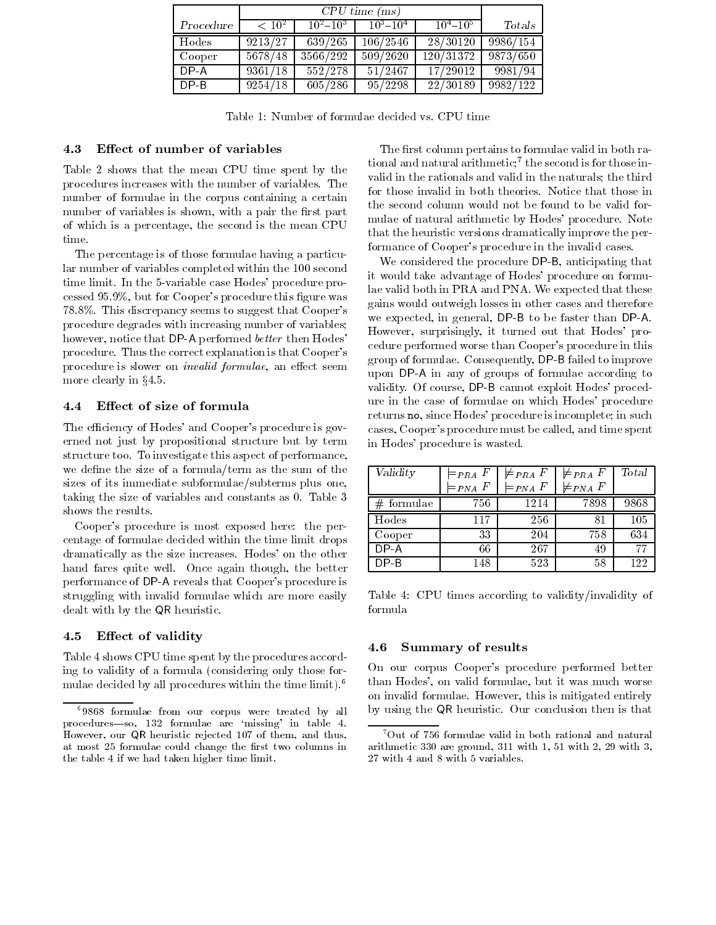|           | $CPU \ time \ (ms)$ |               |                       |                   |          |
|-----------|---------------------|---------------|-----------------------|-------------------|----------|
| Procedure | $< 10^{2}$          | $10^2 - 10^3$ | $10^3 - 10^4$         | $10^{4} - 10^{5}$ | Totals   |
| Hodes     | 9213/27             | 639/265       | 106/2546              | 28/30120          | 9986/154 |
| Cooper    | 5678/48             | 3566/292      | $\overline{509/2620}$ | 120/31372         | 9873/650 |
| $DP-A$    | 9361/18             | 552/278       | 51/2467               | 17/29012          | 9981/94  |
| $DP-B$    | 9254/18             | 605/286       | 95/2298               | 22/30189          | 9982/122 |

Table 
Number of formulae decided vs CPU time

#### 4.3 Effect of number of variables

Table 2 shows that the mean CPU time spent by the procedures increases with the number of variables The number of formulae in the corpus containing a certain number of variables is shown, with a pair the first part of which is a percentage, the second is the mean CPU

The percentage is of those formulae having a particu lar number of variables completed within the 100 second time in the second case of the variable case of the variable case of  $\mathbb{R}^n$ cessed to but for contract the procedure the cooperation of the cooperation of the cooperation of the cooperation of the cooperation of the cooperation of the cooperation of the cooperation of the cooperation of the cooper  $\mathcal{L}$  . This discrete that  $\mathcal{L}$  is the sum to suggest that  $\mathcal{L}$  is the cooperation of  $\mathcal{L}$ procedure degrades with increasing number of variables however notice that DP-A performed better then Hodesprocedure Thus the correct explanation is that Cooperation is that Cooperation is that Cooperation is that Coop procedure is slower on *invalid formulae*, an effect seem more clearly in  $§4.5$ .

#### $4.4$ Effect of size of formula

The ecoeperature is governed to the ecoeperature is governed to the ecoeperature is governed to the ecoeperature is governed to the experimental cooperature is governed to the experimental cooperature is governed to the e erned not just by propositional structure but by term structure too. To investigate this aspect of performance, we define the size of a formula/term as the sum of the sizes of its immediate subformulae/subterms plus one, taking the size of variables and constants as  $0$ . Table  $3$ shows the results

Cooper-s procedure is most exposed here the per centage of formulae decided within the time limit drops dramatically as the size increases Hodes- on the other hand fares quite well. Once again though, the better performance of DP-L reveals that Cooperation is that Cooperation is a reveal of DP-L reveals that Cooperation is struggling with invalid formulae which are more easily dealt with by the QR heuristic

#### 4.5 Effect of validity

Table 4 shows CPU time spent by the procedures according to validity of a formula (considering only those formulae decided by all procedures within the time limit

The first column pertains to formulae valid in both rational and natural arithmetic the second is for those in valid in the rationals and valid in the naturals; the third for those invalid in both theories Notice that those in the second column would not be found to be valid for mulate of natural arithmetic by Hodes-All procedure Internet that the heuristic versions dramatically improve the per formance of Cooper-s procedure in the invalid cases

We considered the procedure DP-B anticipating that it would take a dvantage of Hodes-September of Hodes-September of Hodes-September on formulation  $\mathbf{p}_i$ lae valid both in PRA and PNA. We expected that these gains would outweigh losses in other cases and therefore we expect that  $\alpha$  is to be faster than  $\alpha$  . The faster than  $\alpha$  is that  $\alpha$ However surprisingly it turned out that Hodes- pro cedure performance worker thanks they are procedure in this cooperation of  $\mathcal{L}_{\mathcal{A}}$  $\mathbf{f}$  factor of formulae  $\mathbf{f}$  and  $\mathbf{f}$  and  $\mathbf{f}$  are to improve to improve to improve the set of the set of the set of the set of the set of the set of the set of the set of the set of the set of the set of upon DP-C in any of groups of formulae according to validity Of course DP-better DP-better DP-better DP-better DP-better DP-better DP-better DP-better DP-better D ure in the case of formula entirely on which holds in which holds in which holds in the case of the contract of returns no since Hodes- procedure is incomplete in such cases cooperating procedure must be constructed and time spent of time spent of the called and time spent of t in Hodes- procedure is wasted

| Validity     | $=_{PRA} F$<br>$=_{PNA}$ F | $\not\models_{PRA} F$<br>$=_{PNA} F$ | $\not\vDash_{PRA} F$<br>$\not\models_{PNA} F$ | Total |
|--------------|----------------------------|--------------------------------------|-----------------------------------------------|-------|
| $#$ formulae | 756                        | 1214                                 | 7898                                          | 9868  |
| Hodes        | 117                        | 256                                  | 81                                            | 105   |
| Cooper       | 33                         | 204                                  | 758                                           | 634   |
| $DP-A$       | 66                         | 267                                  | 49                                            | 77    |
| $DP-B$       | 148                        | 523                                  | 58                                            | 122   |

Table 4: CPU times according to validity/invalidity of formula

#### $4.6$ Summary of results

On our corpus Cooper-s procedure performed better than Hodes- on value but it was much worse for the second contract the second contract of the second contract o on invalid formulae. However, this is mitigated entirely by using the QR heuristic Our conclusion then is that

f9868 formulae from our corpus were treated by all procedures-so,  $132$  formulae are 'missing' in table 4. However, our QR heuristic rejected 107 of them, and thus, at most  formulae could change the -rst two columns in the table 4 if we had taken higher time limit.

Out of 756 formulae valid in both rational and natural arithmetic 330 are ground,  $311$  with  $1, 51$  with  $2, 29$  with  $3,$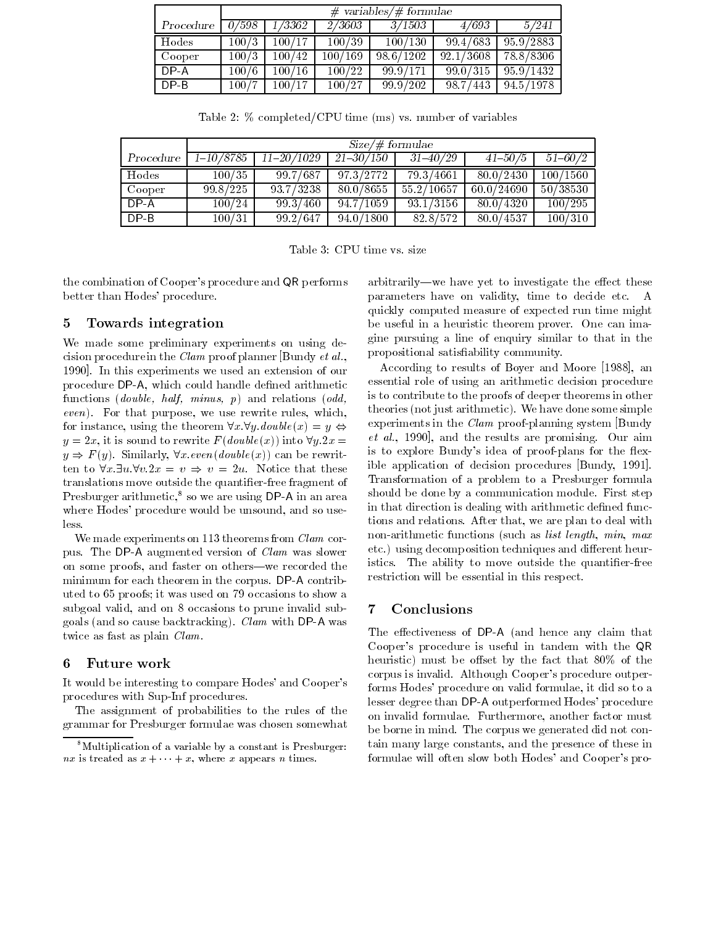|           | $\#$ variables/ $\#$ formulae |        |         |           |                    |                |
|-----------|-------------------------------|--------|---------|-----------|--------------------|----------------|
| Procedure | 0/598                         | 73362  | 2/3603  | 3/1503    | 4/693              | $\sqrt{5/241}$ |
| Hodes     | 100/3                         | 100/17 | 100/39  | 100/130   | 99.4/683           | 95.9/2883      |
| Cooper    | 100/3                         | 100/42 | 100/169 | 98.6/1202 | $\sqrt{92.1/3608}$ | 78.8/8306      |
| $DP - A$  | 100/6                         | 100/16 | 100/22  | 999/171   | 99.0 / 315         | 95.9/1432      |
| $DP-B$    | 100/7                         | 100/17 | 100/27  | 99.9/202  | 98.7/443           | 94.5/1978      |

Table 1986 – Table 1986 – Table 1986 – Table 1986 – Table 1986 – Table 1986 – Table 1986 – Table 1986 – Table

|           | $Size/\#$ formulae     |                |                    |                        |             |             |
|-----------|------------------------|----------------|--------------------|------------------------|-------------|-------------|
| Procedure | $\overline{1-10/8785}$ | $11 - 20/1029$ | $\sqrt{21-30/150}$ | $31 - 40/29$           | $41 - 50/5$ | $51 - 60/2$ |
| Hodes     | 100/35                 | 99.7/687       | 97 3/2772          | $\overline{79.3/4661}$ | 80.0/2430   | 100/1560    |
| Cooper    | 99.8/225               | 93.7/3238      | 80.0/8655          | 55.2/10657             | 60.0/24690  | 50/38530    |
| $DP-A$    | 100/24                 | 99.3/460       | $\sqrt{94.7/1059}$ | 93.1/3156              | 80.0/4320   | 100/295     |
| DP-B      | 100/31                 | 99.2/647       | 94.0/1800          | 82 8/572               | 80.0/4537   | 100/310     |

Table 
CPU time vs size

the combination of Cooper-s procedure and QR performs better than Hodes- where the second second second second second second second second second second second second second second second second second second second second second second second second second second second seco

#### $\overline{5}$ Towards integration

We made some preliminary experiments on using de cision procedure in the *Clam* proof planner Bundy *et al.*, 1990. In this experiments we used an extension of our procedure DP-A which could handle dened arithmetic functions and relations  $\mathbf{d} \mathbf{d}$  and relations  $\mathbf{d} \mathbf{d}$  and relations  $\mathbf{d} \mathbf{d}$ event, we use the purpose it was sented which we use  $\mathcal{L}_{\mathcal{A}}$ for instance, using the theorem  $\forall x. \forall y. double(x) = y \Leftrightarrow$  experi $y = 2x$ , it is sound to rewrite  $F(double(x))$  into  $\forall y. 2x =$  et a  $y \Rightarrow F(y)$ . Similarly,  $\forall x \text{ even} (\text{double}(x))$  can be rewritten to  $\forall x \exists u \forall v \ 2x = v \Rightarrow v = 2u$ . Notice that these translations move outside the quantifier-free fragment of Presburger arithmetic so we are using DP-A in an area where Hodes-Hodes-Hodes-Hodes-Hodes-Hodes-Hodes-Hodes-Hodes-Hodes-Hodes-Hodes-Hodes-Hodes-Hodes-Hodes-Hodes-Ho

We made experiments on  $113$  theorems from  $Clam$  corpus The De-Claudian was slowed versions of Clam was slower was slower and contact the contact of Clam was slower was slower was slower was slower was slower was slower was slower was also the contact of the contact of the on some proofs, and faster on others—we recorded the minimum for each theorem in the corpus DP-  $\sim$ uted to 65 proofs; it was used on 79 occasions to show a subgoal valid, and on 8 occasions to prune invalid sub- $\alpha$  . The cause backet backtracking  $\alpha$  , with DP-state  $\alpha$  , with  $\alpha$ twice as fast as plain  $Clam$ .

#### Future work 6

It would be interesting to compare Hodes- and Cooper-s procedures with Sup-Inf procedures.

The assignment of probabilities to the rules of the grammar for Presburger formulae was chosen somewhat arbitrarily—we have yet to investigate the effect these parameters have on validity, time to decide etc. A quickly computed measure of expected run time might be useful in a heuristic theorem prover One can ima gine pursuing a line of enquiry similar to that in the propositional satisfiability community.

According to results of Boyer and Moore  $[1988]$ , an essential role of using an arithmetic decision procedure is to contribute to the proofs of deeper theorems in other theories  $\mathbf i$  is the orientation of the some simple some simple simple some simple some simple some simple s experiments in the  $Clam$  proof-planning system [Bundy]  $et \ al., 1990$ , and the results are promising. Our aim is to explore Bundy-s idea of proofplans for the &ex ible application of decision procedures Bundy, 1991. Transformation of a problem to a Presburger formula should be done by a communication module First step in that direction is dealing with arithmetic defined functions and relations. After that, we are plan to deal with non-arithmetic functions (such as *list length*,  $min$ ,  $max$ etch, decomposition techniques and dierent heure and dierent heure heure and die istics. The ability to move outside the quantifier-free restriction will be essential in this respect

#### $\overline{7}$ Conclusions

The extension of  $\mathbf{P}_{\mathbf{p}}$  and hence any claim that the extension of  $\mathbf{P}_{\mathbf{p}}$ Cooper-s procedure is useful in tandem with the QR heuristic must be oset by the fact that \$ of the corpus is invariant context type complete procedure outperforms Hodes- procedure on valid formulae it did so to a lesser degree than DP-A outperformed Hodes- procedure on invalid formulae. Furthermore, another factor must be borne in mind. The corpus we generated did not contain many large constants, and the presence of these in formulae will often slow both Hodes- and Cooper-s pro

 $8^8$ Multiplication of a variable by a constant is Presburger:  $nx$  is treated as  $x + y + x$ , where x appears n times